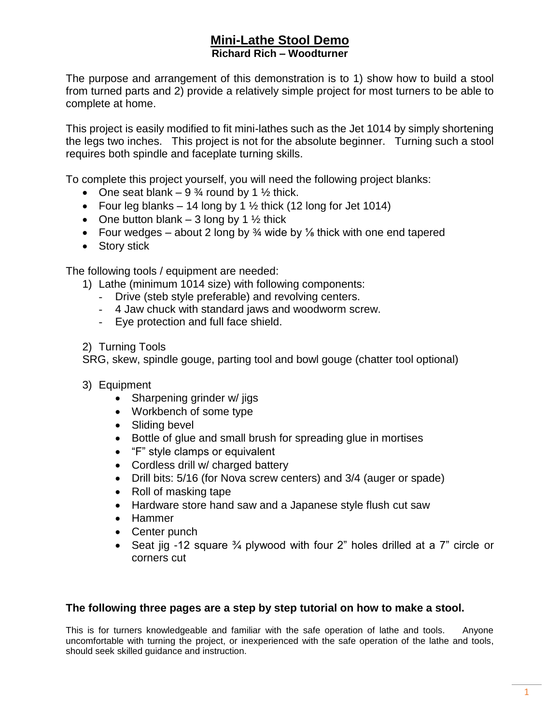The purpose and arrangement of this demonstration is to 1) show how to build a stool from turned parts and 2) provide a relatively simple project for most turners to be able to complete at home.

This project is easily modified to fit mini-lathes such as the Jet 1014 by simply shortening the legs two inches. This project is not for the absolute beginner. Turning such a stool requires both spindle and faceplate turning skills.

To complete this project yourself, you will need the following project blanks:

- One seat blank  $-9\frac{3}{4}$  round by 1  $\frac{1}{2}$  thick.
- Four leg blanks  $-14$  long by 1  $\frac{1}{2}$  thick (12 long for Jet 1014)
- One button blank 3 long by 1  $\frac{1}{2}$  thick
- Four wedges about 2 long by  $\frac{3}{4}$  wide by  $\frac{1}{8}$  thick with one end tapered
- Story stick

The following tools / equipment are needed:

- 1) Lathe (minimum 1014 size) with following components:
	- Drive (steb style preferable) and revolving centers.
	- 4 Jaw chuck with standard jaws and woodworm screw.
	- Eye protection and full face shield.
- 2) Turning Tools

SRG, skew, spindle gouge, parting tool and bowl gouge (chatter tool optional)

- 3) Equipment
	- Sharpening grinder w/ jigs
	- Workbench of some type
	- Sliding bevel
	- Bottle of glue and small brush for spreading glue in mortises
	- "F" style clamps or equivalent
	- Cordless drill w/ charged battery
	- Drill bits: 5/16 (for Nova screw centers) and 3/4 (auger or spade)
	- Roll of masking tape
	- Hardware store hand saw and a Japanese style flush cut saw
	- Hammer
	- Center punch
	- Seat jig -12 square ¾ plywood with four 2" holes drilled at a 7" circle or corners cut

## **The following three pages are a step by step tutorial on how to make a stool.**

This is for turners knowledgeable and familiar with the safe operation of lathe and tools. Anyone uncomfortable with turning the project, or inexperienced with the safe operation of the lathe and tools, should seek skilled guidance and instruction.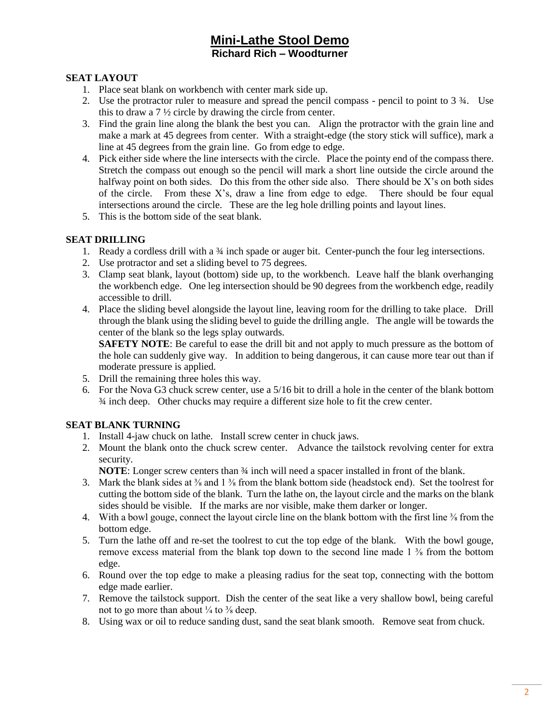## **SEAT LAYOUT**

- 1. Place seat blank on workbench with center mark side up.
- 2. Use the protractor ruler to measure and spread the pencil compass pencil to point to 3 ¾. Use this to draw a 7 ½ circle by drawing the circle from center.
- 3. Find the grain line along the blank the best you can. Align the protractor with the grain line and make a mark at 45 degrees from center. With a straight-edge (the story stick will suffice), mark a line at 45 degrees from the grain line. Go from edge to edge.
- 4. Pick either side where the line intersects with the circle. Place the pointy end of the compass there. Stretch the compass out enough so the pencil will mark a short line outside the circle around the halfway point on both sides. Do this from the other side also. There should be  $X$ 's on both sides of the circle. From these X's, draw a line from edge to edge. There should be four equal intersections around the circle. These are the leg hole drilling points and layout lines.
- 5. This is the bottom side of the seat blank.

## **SEAT DRILLING**

- 1. Ready a cordless drill with a 3<sup>4</sup> inch spade or auger bit. Center-punch the four leg intersections.
- 2. Use protractor and set a sliding bevel to 75 degrees.
- 3. Clamp seat blank, layout (bottom) side up, to the workbench. Leave half the blank overhanging the workbench edge. One leg intersection should be 90 degrees from the workbench edge, readily accessible to drill.
- 4. Place the sliding bevel alongside the layout line, leaving room for the drilling to take place. Drill through the blank using the sliding bevel to guide the drilling angle. The angle will be towards the center of the blank so the legs splay outwards.

**SAFETY NOTE:** Be careful to ease the drill bit and not apply to much pressure as the bottom of the hole can suddenly give way. In addition to being dangerous, it can cause more tear out than if moderate pressure is applied.

- 5. Drill the remaining three holes this way.
- 6. For the Nova G3 chuck screw center, use a 5/16 bit to drill a hole in the center of the blank bottom ¾ inch deep. Other chucks may require a different size hole to fit the crew center.

## **SEAT BLANK TURNING**

- 1. Install 4-jaw chuck on lathe. Install screw center in chuck jaws.
- 2. Mount the blank onto the chuck screw center. Advance the tailstock revolving center for extra security.

**NOTE:** Longer screw centers than  $\frac{3}{4}$  inch will need a spacer installed in front of the blank.

- 3. Mark the blank sides at  $\frac{3}{8}$  and 1  $\frac{3}{8}$  from the blank bottom side (headstock end). Set the toolrest for cutting the bottom side of the blank. Turn the lathe on, the layout circle and the marks on the blank sides should be visible. If the marks are nor visible, make them darker or longer.
- 4. With a bowl gouge, connect the layout circle line on the blank bottom with the first line <sup>3</sup>/<sub>8</sub> from the bottom edge.
- 5. Turn the lathe off and re-set the toolrest to cut the top edge of the blank. With the bowl gouge, remove excess material from the blank top down to the second line made  $1\frac{3}{8}$  from the bottom edge.
- 6. Round over the top edge to make a pleasing radius for the seat top, connecting with the bottom edge made earlier.
- 7. Remove the tailstock support. Dish the center of the seat like a very shallow bowl, being careful not to go more than about  $\frac{1}{4}$  to  $\frac{3}{8}$  deep.
- 8. Using wax or oil to reduce sanding dust, sand the seat blank smooth. Remove seat from chuck.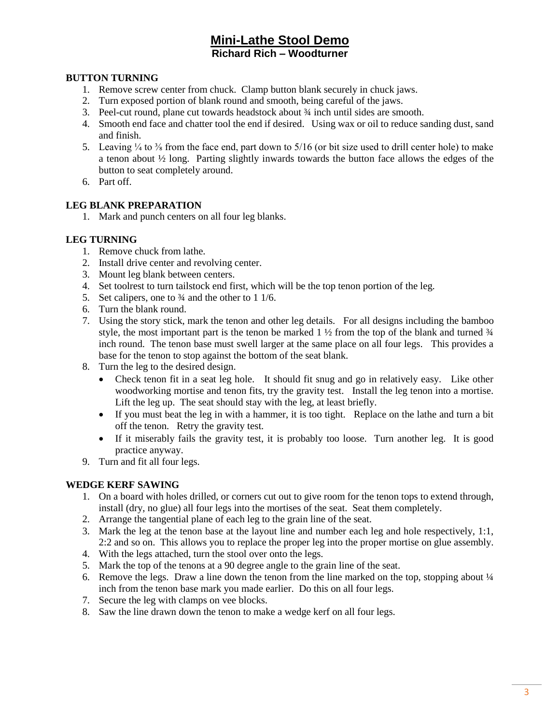## **BUTTON TURNING**

- 1. Remove screw center from chuck. Clamp button blank securely in chuck jaws.
- 2. Turn exposed portion of blank round and smooth, being careful of the jaws.
- 3. Peel-cut round, plane cut towards headstock about ¾ inch until sides are smooth.
- 4. Smooth end face and chatter tool the end if desired. Using wax or oil to reduce sanding dust, sand and finish.
- 5. Leaving  $\frac{1}{4}$  to  $\frac{3}{8}$  from the face end, part down to 5/16 (or bit size used to drill center hole) to make a tenon about ½ long. Parting slightly inwards towards the button face allows the edges of the button to seat completely around.
- 6. Part off.

#### **LEG BLANK PREPARATION**

1. Mark and punch centers on all four leg blanks.

## **LEG TURNING**

- 1. Remove chuck from lathe.
- 2. Install drive center and revolving center.
- 3. Mount leg blank between centers.
- 4. Set toolrest to turn tailstock end first, which will be the top tenon portion of the leg.
- 5. Set calipers, one to  $\frac{3}{4}$  and the other to 1 1/6.
- 6. Turn the blank round.
- 7. Using the story stick, mark the tenon and other leg details. For all designs including the bamboo style, the most important part is the tenon be marked  $1\frac{1}{2}$  from the top of the blank and turned  $\frac{3}{4}$ inch round. The tenon base must swell larger at the same place on all four legs. This provides a base for the tenon to stop against the bottom of the seat blank.
- 8. Turn the leg to the desired design.
	- Check tenon fit in a seat leg hole. It should fit snug and go in relatively easy. Like other woodworking mortise and tenon fits, try the gravity test. Install the leg tenon into a mortise. Lift the leg up. The seat should stay with the leg, at least briefly.
	- If you must beat the leg in with a hammer, it is too tight. Replace on the lathe and turn a bit off the tenon. Retry the gravity test.
	- If it miserably fails the gravity test, it is probably too loose. Turn another leg. It is good practice anyway.
- 9. Turn and fit all four legs.

## **WEDGE KERF SAWING**

- 1. On a board with holes drilled, or corners cut out to give room for the tenon tops to extend through, install (dry, no glue) all four legs into the mortises of the seat. Seat them completely.
- 2. Arrange the tangential plane of each leg to the grain line of the seat.
- 3. Mark the leg at the tenon base at the layout line and number each leg and hole respectively, 1:1, 2:2 and so on. This allows you to replace the proper leg into the proper mortise on glue assembly.
- 4. With the legs attached, turn the stool over onto the legs.
- 5. Mark the top of the tenons at a 90 degree angle to the grain line of the seat.
- 6. Remove the legs. Draw a line down the tenon from the line marked on the top, stopping about  $\frac{1}{4}$ inch from the tenon base mark you made earlier. Do this on all four legs.
- 7. Secure the leg with clamps on vee blocks.
- 8. Saw the line drawn down the tenon to make a wedge kerf on all four legs.